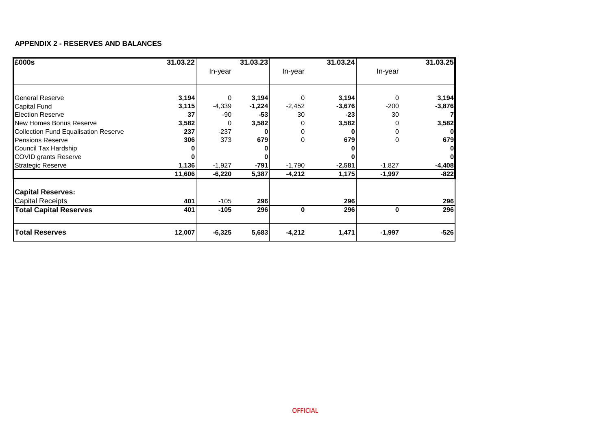#### **APPENDIX 2 - RESERVES AND BALANCES**

| £000s                                       | 31.03.22 |          | 31.03.23 |          | 31.03.24 |          | 31.03.25 |
|---------------------------------------------|----------|----------|----------|----------|----------|----------|----------|
|                                             |          | In-year  |          | In-year  |          | In-year  |          |
|                                             |          |          |          |          |          |          |          |
| <b>General Reserve</b>                      | 3,194    | $\Omega$ | 3,194    | $\Omega$ | 3,194    | $\Omega$ | 3,194    |
| <b>Capital Fund</b>                         | 3,115    | $-4,339$ | $-1,224$ | $-2,452$ | $-3,676$ | $-200$   | $-3,876$ |
| <b>Election Reserve</b>                     | 37       | -90      | $-53$    | 30       | $-23$    | 30       |          |
| New Homes Bonus Reserve                     | 3,582    | 0        | 3,582    |          | 3,582    | 0        | 3,582    |
| <b>Collection Fund Equalisation Reserve</b> | 237      | $-237$   |          | 0        |          | 0        |          |
| <b>Pensions Reserve</b>                     | 306      | 373      | 679      | 0        | 679      | 0        | 679      |
| Council Tax Hardship                        |          |          |          |          |          |          |          |
| <b>COVID grants Reserve</b>                 |          |          |          |          |          |          |          |
| <b>Strategic Reserve</b>                    | 1,136    | $-1,927$ | $-791$   | $-1,790$ | $-2,581$ | $-1,827$ | $-4,408$ |
|                                             | 11,606   | $-6,220$ | 5,387    | $-4,212$ | 1,175    | $-1,997$ | $-822$   |
| <b>Capital Reserves:</b>                    |          |          |          |          |          |          |          |
| <b>Capital Receipts</b>                     | 401      | $-105$   | 296      |          | 296      |          | 296      |
| <b>Total Capital Reserves</b>               | 401      | $-105$   | 296      | $\bf{0}$ | 296      | 0        | 296      |
| <b>Total Reserves</b>                       | 12,007   | $-6,325$ | 5,683    | $-4,212$ | 1,471    | $-1,997$ | $-526$   |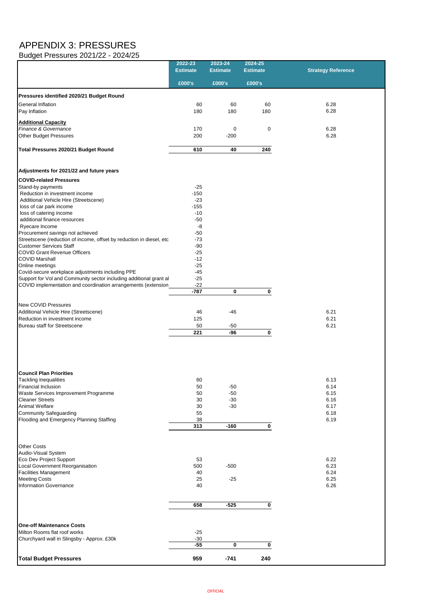## APPENDIX 3: PRESSURES

Budget Pressures 2021/22 - 2024/25

|                                                                                                          | 2022-23<br><b>Estimate</b> | 2023-24<br><b>Estimate</b> | 2024-25<br><b>Estimate</b> | <b>Strategy Reference</b> |
|----------------------------------------------------------------------------------------------------------|----------------------------|----------------------------|----------------------------|---------------------------|
|                                                                                                          | £000's                     | £000's                     | £000's                     |                           |
| Pressures identified 2020/21 Budget Round                                                                |                            |                            |                            |                           |
| <b>General Inflation</b><br>Pay Inflation                                                                | 60<br>180                  | 60<br>180                  | 60<br>180                  | 6.28<br>6.28              |
| <b>Additional Capacity</b>                                                                               |                            |                            |                            |                           |
| Finance & Governance                                                                                     | 170                        | $\Omega$                   | $\mathbf 0$                | 6.28                      |
| <b>Other Budget Pressures</b>                                                                            | 200                        | $-200$                     |                            | 6.28                      |
| <b>Total Pressures 2020/21 Budget Round</b>                                                              | 610                        | 40                         | 240                        |                           |
| Adjustments for 2021/22 and future years                                                                 |                            |                            |                            |                           |
| <b>COVID-related Pressures</b>                                                                           |                            |                            |                            |                           |
| Stand-by payments                                                                                        | $-25$                      |                            |                            |                           |
| Reduction in investment income<br>Additional Vehicle Hire (Streetscene)                                  | $-150$<br>$-23$            |                            |                            |                           |
| loss of car park income                                                                                  | $-155$                     |                            |                            |                           |
| loss of catering income                                                                                  | $-10$                      |                            |                            |                           |
| additional finance resources                                                                             | $-50$                      |                            |                            |                           |
| Ryecare Income                                                                                           | -8                         |                            |                            |                           |
| Procurement savings not achieved<br>Streetscene (reduction of income, offset by reduction in diesel, etc | $-50$<br>$-73$             |                            |                            |                           |
| <b>Customer Services Staff</b>                                                                           | $-90$                      |                            |                            |                           |
| <b>COVID Grant Revenue Officers</b>                                                                      | $-25$                      |                            |                            |                           |
| <b>COVID Marshall</b>                                                                                    | $-12$                      |                            |                            |                           |
| Online meetings<br>Covid-secure workplace adjustments including PPE                                      | $-25$<br>$-45$             |                            |                            |                           |
| Support for Vol and Community sector including additional grant al                                       | $-25$                      |                            |                            |                           |
| COVID implementation and coordination arrangements (extension                                            | $-22$                      |                            |                            |                           |
|                                                                                                          | $-787$                     | $\mathbf 0$                | $\mathbf 0$                |                           |
|                                                                                                          |                            |                            |                            |                           |
| <b>New COVID Pressures</b><br>Additional Vehicle Hire (Streetscene)                                      | 46                         | $-46$                      |                            | 6.21                      |
| Reduction in investment income                                                                           | 125                        |                            |                            | 6.21                      |
| <b>Bureau staff for Streetscene</b>                                                                      | 50                         | $-50$                      |                            | 6.21                      |
|                                                                                                          | 221                        | $-96$                      | $\mathbf 0$                |                           |
|                                                                                                          |                            |                            |                            |                           |
| <b>Council Plan Priorities</b>                                                                           |                            |                            |                            |                           |
| <b>Tackling Inequalities</b>                                                                             | 60                         |                            |                            | 6.13                      |
| <b>Financial Inclusion</b>                                                                               | 50                         | $-50$                      |                            | 6.14<br>6.15              |
| Waste Services Improvement Programme<br><b>Cleaner Streets</b>                                           | 50<br>30                   | $-50$<br>$-30$             |                            | 6.16                      |
| <b>Animal Welfare</b>                                                                                    | 30                         | $-30$                      |                            | 6.17                      |
| <b>Community Safeguarding</b>                                                                            | 55                         |                            |                            | 6.18                      |
| <b>Flooding and Emergency Planning Staffing</b>                                                          | 38                         |                            |                            | 6.19                      |
|                                                                                                          | 313                        | $-160$                     | 0                          |                           |
| <b>Other Costs</b>                                                                                       |                            |                            |                            |                           |
| Audio-Visual System                                                                                      |                            |                            |                            |                           |
| <b>Eco Dev Project Support</b><br>Local Government Reorganisation                                        | 53<br>500                  | $-500$                     |                            | 6.22<br>6.23              |
| <b>Facilities Management</b>                                                                             | 40                         |                            |                            | 6.24                      |
| <b>Meeting Costs</b>                                                                                     | 25                         | $-25$                      |                            | 6.25                      |
| <b>Information Governance</b>                                                                            | 40                         |                            |                            | 6.26                      |
|                                                                                                          |                            |                            |                            |                           |
|                                                                                                          | 658                        | $-525$                     | $\mathbf 0$                |                           |
| <b>One-off Maintenance Costs</b>                                                                         |                            |                            |                            |                           |
| Milton Rooms flat roof works                                                                             | $-25$                      |                            |                            |                           |
| Churchyard wall in Slingsby - Approx. £30k                                                               | $-30$                      |                            |                            |                           |
|                                                                                                          | $-55$                      | $\mathbf 0$                | $\mathbf 0$                |                           |
| <b>Total Budget Pressures</b>                                                                            | 959                        | $-741$                     | 240                        |                           |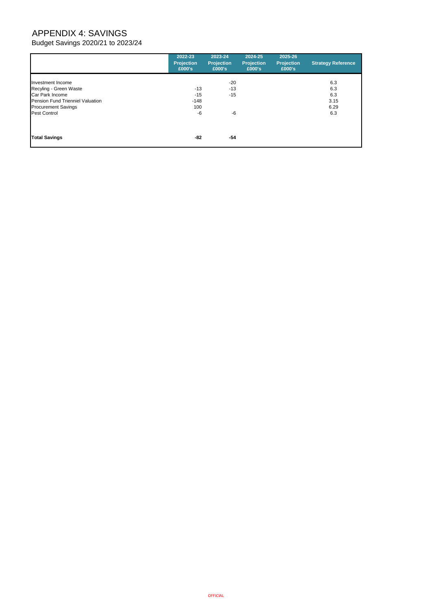# APPENDIX 4: SAVINGS

Budget Savings 2020/21 to 2023/24

|                                  | 2022-23<br><b>Projection</b><br>£000's | 2023-24<br><b>Projection</b><br>£000's | 2024-25<br><b>Projection</b><br>£000's | 2025-26<br><b>Projection</b><br>£000's | <b>Strategy Reference</b> |
|----------------------------------|----------------------------------------|----------------------------------------|----------------------------------------|----------------------------------------|---------------------------|
| Investment Income                |                                        | $-20$                                  |                                        |                                        | 6.3                       |
| Recyling - Green Waste           | $-13$                                  | $-13$                                  |                                        |                                        | 6.3                       |
| Car Park Income                  | $-15$                                  | $-15$                                  |                                        |                                        | 6.3                       |
| Pension Fund Trienniel Valuation | $-148$                                 |                                        |                                        |                                        | 3.15                      |
| <b>Procurement Savings</b>       | 100                                    |                                        |                                        |                                        | 6.29                      |
| Pest Control                     | $-6$                                   | -6                                     |                                        |                                        | 6.3                       |
|                                  |                                        |                                        |                                        |                                        |                           |
| <b>Total Savings</b>             | -82                                    | $-54$                                  |                                        |                                        |                           |

**OFFICIAL**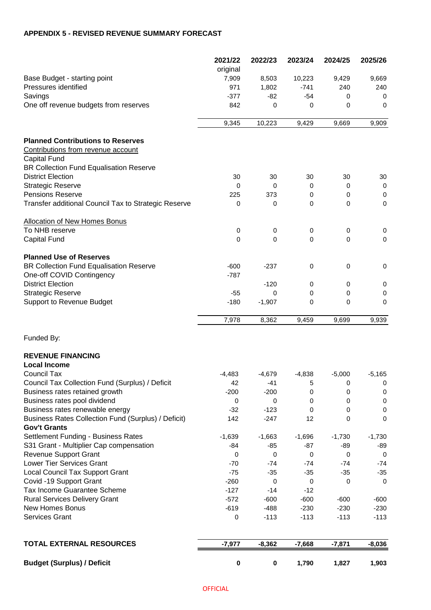#### **APPENDIX 5 - REVISED REVENUE SUMMARY FORECAST**

|                                                                                        | 2021/22<br>original | 2022/23              | 2023/24              | 2024/25    | 2025/26     |
|----------------------------------------------------------------------------------------|---------------------|----------------------|----------------------|------------|-------------|
| Base Budget - starting point                                                           | 7,909               | 8,503                | 10,223               | 9,429      | 9,669       |
| Pressures identified                                                                   | 971                 | 1,802                | $-741$               | 240        | 240         |
| Savings                                                                                | $-377$              | $-82$                | $-54$                | 0          | 0           |
| One off revenue budgets from reserves                                                  | 842                 | $\Omega$             | 0                    | 0          | 0           |
|                                                                                        | 9,345               | 10,223               | 9,429                | 9,669      | 9,909       |
| <b>Planned Contributions to Reserves</b>                                               |                     |                      |                      |            |             |
| Contributions from revenue account<br>Capital Fund                                     |                     |                      |                      |            |             |
| BR Collection Fund Equalisation Reserve                                                |                     |                      |                      |            |             |
| <b>District Election</b>                                                               | 30                  | 30                   | 30                   | 30         | 30          |
| <b>Strategic Reserve</b>                                                               | 0                   | 0                    | 0                    | 0          | $\pmb{0}$   |
| <b>Pensions Reserve</b>                                                                | 225                 | 373                  | 0                    | 0          | 0           |
| Transfer additional Council Tax to Strategic Reserve                                   | 0                   | 0                    | 0                    | 0          | $\mathbf 0$ |
| <b>Allocation of New Homes Bonus</b>                                                   |                     |                      |                      |            |             |
| To NHB reserve                                                                         | 0                   | 0                    | 0                    | 0          | 0           |
| <b>Capital Fund</b>                                                                    | 0                   | $\Omega$             | $\Omega$             | $\Omega$   | $\mathbf 0$ |
| <b>Planned Use of Reserves</b>                                                         |                     |                      |                      |            |             |
| <b>BR Collection Fund Equalisation Reserve</b><br>One-off COVID Contingency            | $-600$<br>$-787$    | $-237$               | 0                    | 0          | 0           |
| <b>District Election</b>                                                               |                     | $-120$               | 0                    | 0          | 0           |
| <b>Strategic Reserve</b>                                                               | $-55$               | $\Omega$             | 0                    | 0          | 0           |
| Support to Revenue Budget                                                              | $-180$              | $-1,907$             | 0                    | 0          | 0           |
|                                                                                        | 7,978               | 8,362                | 9,459                | 9,699      | 9,939       |
| Funded By:                                                                             |                     |                      |                      |            |             |
| <b>REVENUE FINANCING</b>                                                               |                     |                      |                      |            |             |
| <b>Local Income</b>                                                                    |                     |                      |                      |            |             |
| <b>Council Tax</b>                                                                     | $-4,483$            | $-4,679$             | $-4,838$             | $-5,000$   | $-5,165$    |
| Council Tax Collection Fund (Surplus) / Deficit                                        | 42                  | $-41$                | 5                    | 0          | $\pmb{0}$   |
| Business rates retained growth                                                         | $-200$              | $-200$               | 0                    | 0          | $\,0\,$     |
| Business rates pool dividend                                                           | 0                   | 0                    | 0                    | 0          | $\,0\,$     |
| Business rates renewable energy<br>Business Rates Collection Fund (Surplus) / Deficit) | $-32$<br>142        | $-123$               | 0                    | 0<br>0     | 0           |
| <b>Gov't Grants</b>                                                                    |                     | $-247$               | 12                   |            | 0           |
| Settlement Funding - Business Rates                                                    | $-1,639$            | $-1,663$             | $-1,696$             | $-1,730$   | $-1,730$    |
| S31 Grant - Multiplier Cap compensation                                                | $-84$               | $-85$                | $-87$                | $-89$      | -89         |
| <b>Revenue Support Grant</b>                                                           | 0                   | $\mathbf 0$          | $\mathbf 0$          | 0          | $\mathbf 0$ |
| Lower Tier Services Grant                                                              | $-70$               | $-74$                | $-74$                | $-74$      | $-74$       |
| <b>Local Council Tax Support Grant</b><br>Covid -19 Support Grant                      | $-75$<br>$-260$     | $-35$<br>$\mathbf 0$ | $-35$<br>$\mathbf 0$ | $-35$<br>0 | $-35$<br>0  |
| Tax Income Guarantee Scheme                                                            | $-127$              | $-14$                | $-12$                |            |             |
| <b>Rural Services Delivery Grant</b>                                                   | $-572$              | $-600$               | $-600$               | $-600$     | -600        |
| <b>New Homes Bonus</b>                                                                 | $-619$              | $-488$               | $-230$               | $-230$     | $-230$      |
| Services Grant                                                                         | 0                   | $-113$               | $-113$               | $-113$     | $-113$      |
|                                                                                        |                     |                      |                      |            |             |
| <b>TOTAL EXTERNAL RESOURCES</b>                                                        | $-7,977$            | $-8,362$             | $-7,668$             | $-7,871$   | $-8,036$    |
| <b>Budget (Surplus) / Deficit</b>                                                      | $\pmb{0}$           | $\pmb{0}$            | 1,790                | 1,827      | 1,903       |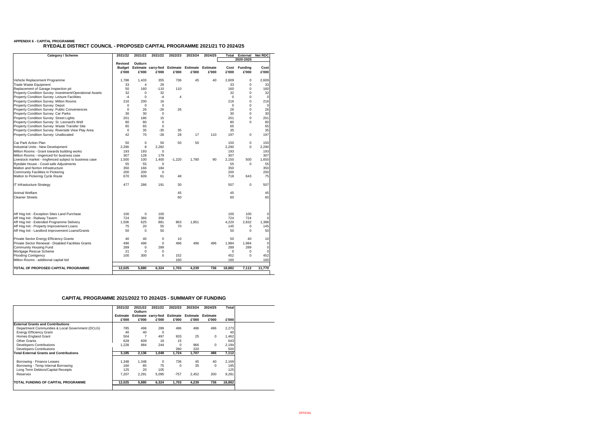| <b>Category / Scheme</b>                                 | 2021/22<br>2021/22<br>2021/22            |                  | 2022/23                            | 2023/24                  | 2024/25                  | <b>External</b><br><b>Total</b> |               | <b>Net RDC</b>          |               |
|----------------------------------------------------------|------------------------------------------|------------------|------------------------------------|--------------------------|--------------------------|---------------------------------|---------------|-------------------------|---------------|
|                                                          |                                          |                  |                                    |                          |                          |                                 |               | 2020-2025               |               |
|                                                          | <b>Revised</b><br><b>Budget</b><br>£'000 | Outturn<br>£'000 | <b>Estimate carry-fwd</b><br>£'000 | <b>Estimate</b><br>£'000 | <b>Estimate</b><br>£'000 | <b>Estimate</b><br>£'000        | Cost<br>£'000 | <b>Funding</b><br>£'000 | Cost<br>£'000 |
| Vehicle Replacement Programme                            | 1,788                                    | 1,433            | 355                                | 736                      | 45                       | 40                              | 2,609         | 0                       | 2,609         |
| <b>Trade Waste Equipment</b>                             | 33                                       | 4                | 29                                 |                          |                          |                                 | 33            | 0                       | 33            |
| Replacement of Garage Inspection pit                     | 50                                       | 160              | $-110$                             | 110                      |                          |                                 | 160           | $\Omega$                | 160           |
| Property Condition Survey: Investment/Operational Assets | 32                                       | 0                | 32                                 |                          |                          |                                 | 32            | 0                       | 32            |
| <b>Property Condition Survey: Leisure Facilities</b>     | $-4$                                     | 0                | $-4$                               | 4                        |                          |                                 | $\Omega$      | 0                       | $\mathbf 0$   |
| <b>Property Condition Survey: Milton Rooms</b>           | 216                                      | 200              | 16                                 |                          |                          |                                 | 216           | $\Omega$                | 216           |
| <b>Property Condition Survey: Depot</b>                  | 0                                        | 0                | $\mathbf 0$                        |                          |                          |                                 | 0             | $\Omega$                | $\mathbf 0$   |
| <b>Property Condition Survey: Public Conveniences</b>    | $\mathbf 0$                              | 26               | $-26$                              | 26                       |                          |                                 | 26            | $\Omega$                | 26            |
| <b>Property Condition Survey: Car Parks</b>              | 30                                       | 30               | 0                                  |                          |                          |                                 | 30            | $\Omega$                | 30            |
| <b>Property Condition Survey: Street Lights</b>          | 201                                      | 186              | 15                                 |                          |                          |                                 | 201           | $\Omega$                | 201           |
| Property Condition Survey: St. Leonard's Well            | 80                                       | 80               | 0                                  |                          |                          |                                 | 80            | $\Omega$                | 80            |
| Property Condition Survey: Waste Transfer Site           | 65                                       | 65               | $\mathbf 0$                        |                          |                          |                                 | 65            |                         | 65            |
| Property Condition Survey: Riverside View Play Area      | $\mathbf 0$                              | 35               | $-35$                              | 35                       |                          |                                 | 35            |                         | 35            |
| <b>Property Condition Survey: Unallocated</b>            | 42                                       | 70               | $-28$                              | 28                       | 17                       | 110                             | 197           | 0                       | 197           |
| Car Park Action Plan                                     | 50                                       | 0                | 50                                 | 50                       | 50                       |                                 | 150           | 0                       | 150           |
| Industrial Units - New Development                       | 2,290                                    | 8                | 2,282                              |                          |                          |                                 | 2,290         | $\mathbf 0$             | 2,290         |
| Milton Rooms - Grant towards building works              | 193                                      | 193              | 0                                  |                          |                          |                                 | 193           |                         | 193           |
| Milton Rooms - ringenced for business case               | 307                                      | 128              | 179                                |                          |                          |                                 | 307           |                         | 307           |
| Livestock market - ringfenced subject to business case   | 1,500                                    | 100              | 1,400                              | $-1,220$                 | 1,780                    | 90                              | 2,150         | 500                     | 1,650         |
| Ryedale House - Covid-safe Adjustments                   | 55                                       | 55               | $\pmb{0}$                          |                          |                          |                                 | 55            | 0                       | 55            |
| Malton and Norton Infrastructure                         | 350                                      | 166              | 184                                |                          |                          |                                 | 350           |                         | 350           |
| Community Facilities in Pickering                        | 200                                      | 200              | 0                                  |                          |                          |                                 | 200           |                         | 200           |
| Malton to Pickering Cycle Route                          | 670                                      | 609              | 61                                 | 48                       |                          |                                 | 718           | 643                     | 75            |
| IT Infrastucture Strategy                                | 477                                      | 286              | 191                                | 30                       |                          |                                 | 507           | 0                       | 507           |
| <b>Animal Welfare</b>                                    |                                          |                  |                                    | 45                       |                          |                                 | 45            |                         | 45            |
| <b>Cleaner Streets</b>                                   |                                          |                  |                                    | 60                       |                          |                                 | 60            |                         | 60            |
| Aff Hsg Init - Exception Sites Land Purchase             | 100                                      | 0                | 100                                |                          |                          |                                 | 100           | 100                     | 0             |
| Aff Hsg Init - Railway Tavern                            | 724                                      | 366              | 358                                |                          |                          |                                 | 724           | 724                     | $\Omega$      |
| Aff Hsg Init - Extended Programme Delivery               | 1,506                                    | 625              | 881                                | 863                      | 1,851                    |                                 | 4,220         | 2,832                   | 1,388         |
| Aff Hsg Init - Property Improvement Loans                | 75                                       | 20               | 55                                 | 70                       |                          |                                 | 145           | 0                       | 145           |
| Aff Hsg Init - Landlord Improvement Loans/Grants         | 50                                       | 0                | 50                                 |                          |                          |                                 | 50            | $\Omega$                | 50            |
| Private Sector Energy Efficiency Grants                  | 40                                       | 40               | 0                                  | 10                       |                          |                                 | 50            | 40                      | 10            |
| Private Sector Renewal - Disabled Facilities Grants      | 496                                      | 496              | $\pmb{0}$                          | 496                      | 496                      | 496                             | 1,984         | 1,984                   | $\mathbf 0$   |
| Community Housing Fund                                   | 289                                      | 0                | 289                                |                          |                          |                                 | 289           | 289                     | $\mathbf 0$   |
| Mortgage Rescue Scheme                                   | 21                                       | 0                | 0                                  |                          |                          |                                 | 0             | 0                       | $\mathbf 0$   |
| <b>Flooding Contigency</b>                               | 100                                      | 300              | $\pmb{0}$                          | 152                      |                          |                                 | 452           | $\Omega$                | 452           |
| Milton Rooms - additional capital bid                    |                                          |                  |                                    | 160                      |                          |                                 | 160           |                         | 160           |
|                                                          |                                          | 5,880            | 6,324                              | 1,703                    |                          |                                 |               |                         | 11,770        |

## **APPENDIX 6 - CAPITAL PROGRAMME RYEDALE DISTRICT COUNCIL - PROPOSED CAPITAL PROGRAMME 2021/21 TO 2024/25**

|                                                  | 2021/22         | 2021/22<br><b>Outturn</b> | 2021/22                                       | 2022/23  | 2023/24 | 2024/25     | Total  |
|--------------------------------------------------|-----------------|---------------------------|-----------------------------------------------|----------|---------|-------------|--------|
|                                                  | <b>Estimate</b> |                           | Estimate carry-fwd Estimate Estimate Estimate |          |         |             |        |
|                                                  | £'000           | £'000                     | £'000                                         | £'000    | £'000   | £'000       | £'000  |
| <b>External Grants and Contributions</b>         |                 |                           |                                               |          |         |             |        |
| Department Communities & Local Government (DCLG) | 785             | 496                       | 289                                           | 496      | 496     | 496         | 2,273  |
| <b>Energy Efficiency Grant</b>                   | 40              | 40                        | -0                                            |          |         |             | 40     |
| <b>Homes England Grant</b>                       | 504             |                           | 497                                           | 933      | 25      | $\mathbf 0$ | 1,462  |
| <b>Other Grants</b>                              | 628             | 609                       | 19                                            | 15       |         |             | 643    |
| <b>Developers Contributions</b>                  | 1,228           | 984                       | 244                                           | $\Omega$ | 966     | $\Omega$    | 2,194  |
| <b>Developers Contributions</b>                  |                 |                           |                                               | 280      | 220     |             | 500    |
| <b>Total External Grants and Contributions</b>   | 3,185           | 2,136                     | 1,049                                         | 1,724    | 1,707   | 496         | 7,112  |
| Borrowing - Finance Leases                       | 1,348           | 1,348                     | 0                                             | 736      | 45      | 40          | 2,169  |
| Borrowing - Temp Internal Borrowing              | 160             | 85                        | 75                                            | $\Omega$ | 35      | $\Omega$    | 195    |
| Long Term Debtors/Capital Receipts               | 125             | 20                        | 105                                           |          |         |             | 125    |
| Reserves                                         | 7,207           | 2,291                     | 5,095                                         | $-757$   | 2,452   | 200         | 9,281  |
| <b>TOTAL FUNDING OF CAPITAL PROGRAMME</b>        | 12,025          | 5,880                     | 6,324                                         | 1,703    | 4,239   | 736         | 18,882 |

## **CAPITAL PROGRAMME 2021/2022 TO 2024/25 - SUMMARY OF FUNDING**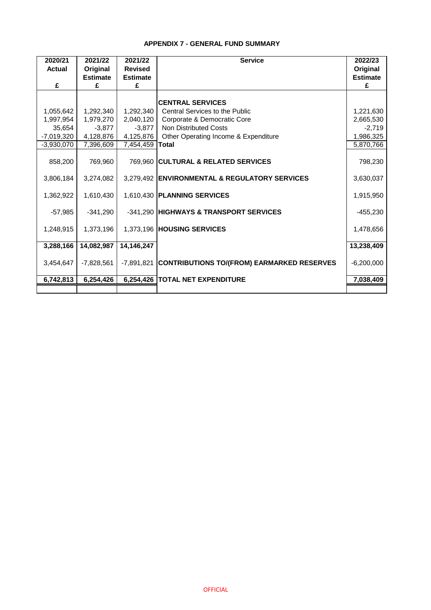### **APPENDIX 7 - GENERAL FUND SUMMARY**

| 2020/21<br><b>Actual</b> | 2021/22<br>Original | 2021/22<br><b>Revised</b> | <b>Service</b>                                        | 2022/23<br>Original |
|--------------------------|---------------------|---------------------------|-------------------------------------------------------|---------------------|
|                          | <b>Estimate</b>     | <b>Estimate</b>           |                                                       | <b>Estimate</b>     |
| £                        | £                   | £                         |                                                       | £                   |
|                          |                     |                           | <b>CENTRAL SERVICES</b>                               |                     |
| 1,055,642                | 1,292,340           | 1,292,340                 | Central Services to the Public                        | 1,221,630           |
| 1,997,954                | 1,979,270           | 2,040,120                 | Corporate & Democratic Core                           | 2,665,530           |
| 35,654                   | $-3,877$            | $-3,877$                  | <b>Non Distributed Costs</b>                          | $-2,719$            |
| $-7,019,320$             | 4,128,876           | 4,125,876                 | Other Operating Income & Expenditure                  | 1,986,325           |
| $-3,930,070$             | 7,396,609           | 7,454,459                 | <b>Total</b>                                          | 5,870,766           |
| 858,200                  | 769,960             |                           | 769,960 CULTURAL & RELATED SERVICES                   | 798,230             |
| 3,806,184                | 3,274,082           |                           | 3,279,492 ENVIRONMENTAL & REGULATORY SERVICES         | 3,630,037           |
| 1,362,922                | 1,610,430           |                           | 1,610,430 PLANNING SERVICES                           | 1,915,950           |
| $-57,985$                | $-341,290$          |                           | -341,290 HIGHWAYS & TRANSPORT SERVICES                | $-455,230$          |
| 1,248,915                | 1,373,196           |                           | 1,373,196 HOUSING SERVICES                            | 1,478,656           |
| 3,288,166                | 14,082,987          | 14,146,247                |                                                       | 13,238,409          |
| 3,454,647                | $-7,828,561$        |                           | -7,891,821 CONTRIBUTIONS TO/(FROM) EARMARKED RESERVES | $-6,200,000$        |
| 6,742,813                | 6,254,426           |                           | 6,254,426   TOTAL NET EXPENDITURE                     | 7,038,409           |
|                          |                     |                           |                                                       |                     |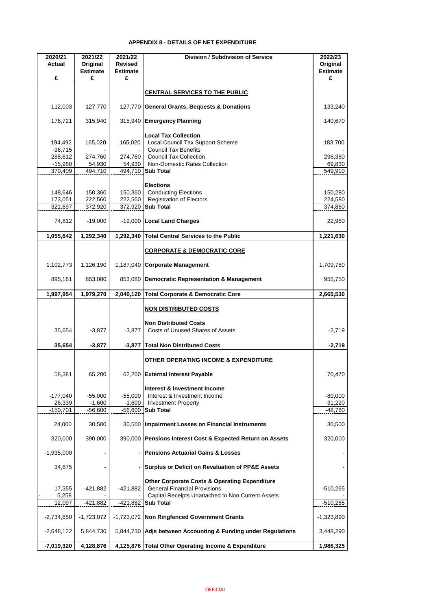### **APPENDIX 8 - DETAILS OF NET EXPENDITURE**

| 2020/21<br><b>Actual</b>      | 2021/22<br>Original<br><b>Estimate</b> | 2021/22<br><b>Revised</b><br><b>Estimate</b> | <b>Division / Subdivision of Service</b>                                                                                                  | 2022/23<br>Original<br><b>Estimate</b> |
|-------------------------------|----------------------------------------|----------------------------------------------|-------------------------------------------------------------------------------------------------------------------------------------------|----------------------------------------|
| £                             | £                                      | £                                            |                                                                                                                                           | £                                      |
|                               |                                        |                                              | <b>CENTRAL SERVICES TO THE PUBLIC</b>                                                                                                     |                                        |
| 112,003                       | 127,770                                |                                              | 127,770 General Grants, Bequests & Donations                                                                                              | 133,240                                |
| 176,721                       | 315,940                                |                                              | 315,940 Emergency Planning                                                                                                                | 140,670                                |
| 194,492<br>$-96,715$          | 165,020                                | 165,020                                      | <b>Local Tax Collection</b><br>Local Council Tax Support Scheme<br><b>Council Tax Benefits</b>                                            | 183,700                                |
| 288,612                       | 274,760                                | 274,760                                      | <b>Council Tax Collection</b>                                                                                                             | 296,380                                |
| $-15,980$                     | 54,930<br>494,710                      | 54,930                                       | Non-Domestic Rates Collection<br><b>Sub Total</b>                                                                                         | 69,830                                 |
| 370,409                       |                                        | 494,710                                      |                                                                                                                                           | 549,910                                |
| 148,646<br>173,051<br>321,697 | 150,360<br>222,560<br>372,920          | 150,360<br>222,560                           | <b>Elections</b><br><b>Conducting Elections</b><br><b>Registration of Electors</b><br>372,920 Sub Total                                   | 150,280<br>224,580<br>374,860          |
|                               |                                        |                                              |                                                                                                                                           |                                        |
| 74,812                        | $-19,000$                              |                                              | -19,000   Local Land Charges                                                                                                              | 22,950                                 |
| 1,055,642                     | 1,292,340                              | 1,292,340                                    | <b>Total Central Services to the Public</b>                                                                                               | 1,221,630                              |
|                               |                                        |                                              | <b>CORPORATE &amp; DEMOCRATIC CORE</b>                                                                                                    |                                        |
| 1,102,773                     | 1,126,190                              | 1,187,040                                    | <b>Corporate Management</b>                                                                                                               | 1,709,780                              |
| 895,181                       | 853,080                                |                                              | 853,080 Democratic Representation & Management                                                                                            | 955,750                                |
| 1,997,954                     | 1,979,270                              | 2,040,120                                    | Total Corporate & Democratic Core                                                                                                         | 2,665,530                              |
|                               |                                        |                                              | <b>NON DISTRIBUTED COSTS</b><br><b>Non Distributed Costs</b>                                                                              |                                        |
| 35,654                        | $-3,877$                               | $-3,877$                                     | <b>Costs of Unused Shares of Assets</b>                                                                                                   | $-2,719$                               |
| 35,654                        | $-3,877$                               | $-3,877$                                     | <b>Total Non Distributed Costs</b>                                                                                                        | $-2,719$                               |
|                               |                                        |                                              | <u>OTHER OPERATING INCOME &amp; EXPENDITURE</u>                                                                                           |                                        |
| 58,381                        | 65,200                                 |                                              | 62,200 External Interest Payable                                                                                                          | 70,470                                 |
| $-177,040$<br>26,339          | $-55,000$<br>$-1,600$                  | $-55,000$<br>$-1,600$                        | Interest & Investment Income<br>Interest & Investment Income<br><b>Investment Property</b>                                                | $-80,000$<br>31,220                    |
| $-150,701$                    | $-56,600$                              |                                              | $-56,600$ Sub Total                                                                                                                       | $-48,780$                              |
| 24,000                        | 30,500                                 |                                              | 30,500   Impairment Losses on Financial Instruments                                                                                       | 30,500                                 |
| 320,000                       | 390,000                                |                                              | 390,000 Pensions Interest Cost & Expected Return on Assets                                                                                | 320,000                                |
| $-1,935,000$                  |                                        |                                              | <b>Pensions Actuarial Gains &amp; Losses</b>                                                                                              |                                        |
| 34,875                        |                                        |                                              | <b>Surplus or Deficit on Revaluation of PP&amp;E Assets</b>                                                                               |                                        |
| 17,355<br>5,258               | $-421,882$                             | $-421,882$                                   | Other Corporate Costs & Operating Expenditure<br><b>General Financial Provisions</b><br>Capital Receipts Unattached to Non Current Assets | $-510,265$                             |
| 12,097                        | $-421,882$                             |                                              | $-421,882$ Sub Total                                                                                                                      | $-510,265$                             |
| $-2,734,850$                  | $-1,723,072$                           |                                              | -1,723,072   Non Ringfenced Government Grants                                                                                             | $-1,323,890$                           |
| $-2,648,122$                  | 5,844,730                              |                                              | 5,844,730 Adjs between Accounting & Funding under Regulations                                                                             | 3,448,290                              |
| $-7,019,320$                  | 4,128,876                              |                                              | 4,125,876 Total Other Operating Income & Expenditure                                                                                      | 1,986,325                              |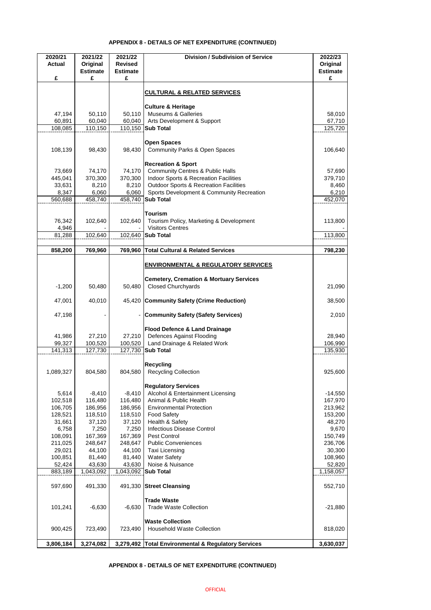## **APPENDIX 8 - DETAILS OF NET EXPENDITURE (CONTINUED)**

| 2020/21<br><b>Actual</b> | 2021/22<br>Original  | 2021/22<br><b>Revised</b> | <b>Division / Subdivision of Service</b>                                        | 2022/23<br>Original  |
|--------------------------|----------------------|---------------------------|---------------------------------------------------------------------------------|----------------------|
| £                        | <b>Estimate</b><br>£ | <b>Estimate</b><br>£      |                                                                                 | <b>Estimate</b><br>£ |
|                          |                      |                           | <b>CULTURAL &amp; RELATED SERVICES</b>                                          |                      |
|                          |                      |                           |                                                                                 |                      |
| 47,194                   | 50,110               | 50,110                    | <b>Culture &amp; Heritage</b><br><b>Museums &amp; Galleries</b>                 | 58,010               |
| 60,891                   | 60,040               | 60,040                    | Arts Development & Support                                                      | 67,710               |
| 108,085                  | 110,150              | 110,150                   | <b>Sub Total</b>                                                                | 125,720              |
|                          |                      |                           |                                                                                 |                      |
| 108,139                  | 98,430               | 98,430                    | <b>Open Spaces</b><br><b>Community Parks &amp; Open Spaces</b>                  | 106,640              |
|                          |                      |                           |                                                                                 |                      |
| 73,669                   | 74,170               | 74,170                    | <b>Recreation &amp; Sport</b><br><b>Community Centres &amp; Public Halls</b>    | 57,690               |
| 445,041                  | 370,300              | 370,300                   | Indoor Sports & Recreation Facilities                                           | 379,710              |
| 33,631                   | 8,210                | 8,210                     | <b>Outdoor Sports &amp; Recreation Facilities</b>                               | 8,460                |
| 8,347                    | 6,060                | 6,060                     | Sports Development & Community Recreation                                       | 6,210                |
| 560,688                  | 458,740              | 458,740                   | <b>Sub Total</b>                                                                | 452,070              |
|                          |                      |                           |                                                                                 |                      |
| 76,342                   | 102,640              | 102,640                   | <b>Tourism</b><br>Tourism Policy, Marketing & Development                       | 113,800              |
| 4,946                    |                      |                           | <b>Visitors Centres</b>                                                         |                      |
| 81,288                   | 102,640              | 102,640                   | <b>Sub Total</b>                                                                | 113,800              |
|                          |                      |                           |                                                                                 |                      |
| 858,200                  | 769,960              | 769,960                   | <b>Total Cultural &amp; Related Services</b>                                    | 798,230              |
|                          |                      |                           | <b>ENVIRONMENTAL &amp; REGULATORY SERVICES</b>                                  |                      |
|                          |                      |                           |                                                                                 |                      |
| $-1,200$                 | 50,480               | 50,480                    | <b>Cemetery, Cremation &amp; Mortuary Services</b><br><b>Closed Churchyards</b> | 21,090               |
|                          |                      |                           |                                                                                 |                      |
| 47,001                   | 40,010               |                           | 45,420 Community Safety (Crime Reduction)                                       | 38,500               |
|                          |                      |                           |                                                                                 |                      |
| 47,198                   |                      |                           | <b>Community Safety (Safety Services)</b>                                       | 2,010                |
|                          |                      |                           | <b>Flood Defence &amp; Land Drainage</b>                                        |                      |
| 41,986                   | 27,210               | 27,210                    | Defences Against Flooding                                                       | 28,940               |
| 99,327                   | 100,520              | 100,520                   | Land Drainage & Related Work                                                    | 106,990              |
| 141,313                  | 127,730              | 127,730                   | <b>Sub Total</b>                                                                | 135,930              |
|                          |                      |                           | <b>Recycling</b>                                                                |                      |
| 1,089,327                | 804,580              | 804,580                   | <b>Recycling Collection</b>                                                     | 925,600              |
|                          |                      |                           |                                                                                 |                      |
|                          |                      |                           | <b>Regulatory Services</b>                                                      |                      |
| 5,614                    | $-8,410$             | $-8,410$                  | Alcohol & Entertainment Licensing                                               | $-14,550$            |
| 102,518                  | 116,480              | 116,480                   | Animal & Public Health                                                          | 167,970              |
| 106,705<br>128,521       | 186,956<br>118,510   | 186,956<br>118,510        | <b>Environmental Protection</b><br><b>Food Safety</b>                           | 213,962<br>153,200   |
| 31,661                   | 37,120               | 37,120                    | Health & Safety                                                                 | 48,270               |
| 6,758                    | 7,250                | 7,250                     | <b>Infectious Disease Control</b>                                               | 9,670                |
| 108,091                  | 167,369              | 167,369                   | Pest Control                                                                    | 150,749              |
| 211,025                  | 248,647              | 248,647                   | <b>Public Conveniences</b>                                                      | 236,706              |
| 29,021                   | 44,100               | 44,100                    | <b>Taxi Licensing</b>                                                           | 30,300               |
| 100,851                  | 81,440               | 81,440                    | <b>Water Safety</b>                                                             | 108,960              |
| 52,424                   | 43,630               | 43,630                    | Noise & Nuisance                                                                | 52,820               |
| 883,189                  | 1,043,092            | 1,043,092                 | <b>Sub Total</b>                                                                | 1,158,057            |
| 597,690                  | 491,330              |                           | 491,330 Street Cleansing                                                        | 552,710              |
|                          |                      |                           |                                                                                 |                      |
|                          | $-6,630$             | $-6,630$                  | <b>Trade Waste</b><br><b>Trade Waste Collection</b>                             |                      |
| 101,241                  |                      |                           |                                                                                 | $-21,880$            |
|                          |                      |                           | <b>Waste Collection</b>                                                         |                      |
| 900,425                  | 723,490              | 723,490                   | <b>Household Waste Collection</b>                                               | 818,020              |
|                          |                      |                           |                                                                                 |                      |
| 3,806,184                | 3,274,082            | 3,279,492                 | <b>Total Environmental &amp; Regulatory Services</b>                            | 3,630,037            |

**APPENDIX 8 - DETAILS OF NET EXPENDITURE (CONTINUED)**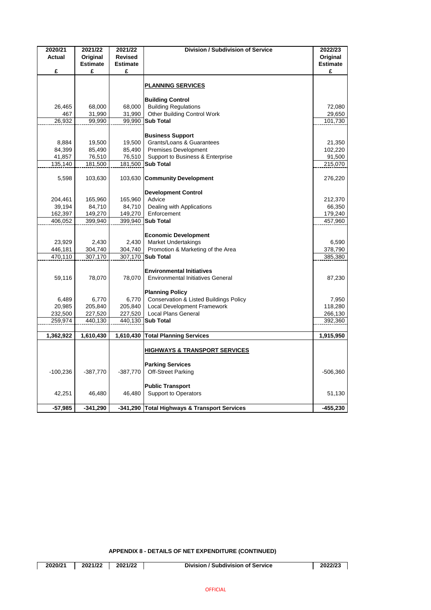| 2020/21           | 2021/22                     | 2021/22                           | <b>Division / Subdivision of Service</b>                                    | 2022/23                     |
|-------------------|-----------------------------|-----------------------------------|-----------------------------------------------------------------------------|-----------------------------|
| <b>Actual</b>     | Original<br><b>Estimate</b> | <b>Revised</b><br><b>Estimate</b> |                                                                             | Original<br><b>Estimate</b> |
| £                 | £                           | £                                 |                                                                             | £                           |
|                   |                             |                                   |                                                                             |                             |
|                   |                             |                                   | <b>PLANNING SERVICES</b>                                                    |                             |
|                   |                             |                                   |                                                                             |                             |
|                   |                             |                                   | <b>Building Control</b>                                                     |                             |
| 26,465            | 68,000                      | 68,000<br>31,990                  | <b>Building Regulations</b>                                                 | 72,080                      |
| 467<br>26,932     | 31,990<br>99,990            | 99,990                            | <b>Other Building Control Work</b><br><b>Sub Total</b>                      | 29,650<br>101,730           |
|                   |                             |                                   |                                                                             |                             |
|                   |                             |                                   | <b>Business Support</b>                                                     |                             |
| 8,884             | 19,500                      | 19,500                            | Grants/Loans & Guarantees                                                   | 21,350                      |
| 84,399            | 85,490                      | 85,490                            | <b>Premises Development</b>                                                 | 102,220                     |
| 41,857            | 76,510                      | 76,510                            | Support to Business & Enterprise                                            | 91,500                      |
| 135,140           | 181,500                     | 181,500                           | <b>Sub Total</b>                                                            | 215,070                     |
|                   |                             |                                   |                                                                             |                             |
| 5,598             | 103,630                     |                                   | 103,630 Community Development                                               | 276,220                     |
|                   |                             |                                   |                                                                             |                             |
|                   |                             |                                   | <b>Development Control</b><br>Advice                                        |                             |
| 204,461<br>39,194 | 165,960<br>84,710           | 165,960<br>84,710                 | Dealing with Applications                                                   | 212,370<br>66,350           |
| 162,397           | 149,270                     | 149,270                           | Enforcement                                                                 | 179,240                     |
| 406,052           | 399,940                     | 399,940                           | <b>Sub Total</b>                                                            | 457,960                     |
|                   |                             |                                   |                                                                             |                             |
|                   |                             |                                   | <b>Economic Development</b>                                                 |                             |
| 23,929            | 2,430                       | 2,430                             | <b>Market Undertakings</b>                                                  | 6,590                       |
| 446,181           | 304,740                     | 304,740                           | Promotion & Marketing of the Area                                           | 378,790                     |
| 470,110           | 307,170                     | 307,170                           | <b>Sub Total</b>                                                            | 385,380                     |
|                   |                             |                                   |                                                                             |                             |
|                   |                             |                                   | <b>Environmental Initiatives</b>                                            |                             |
| 59,116            | 78,070                      | 78,070                            | <b>Environmental Initiatives General</b>                                    | 87,230                      |
|                   |                             |                                   |                                                                             |                             |
| 6,489             | 6,770                       | 6,770                             | <b>Planning Policy</b><br><b>Conservation &amp; Listed Buildings Policy</b> | 7,950                       |
| 20,985            | 205,840                     | 205,840                           | <b>Local Development Framework</b>                                          | 118,280                     |
| 232,500           | 227,520                     | 227,520                           | <b>Local Plans General</b>                                                  | 266,130                     |
| 259,974           | 440,130                     | 440,130                           | <b>Sub Total</b>                                                            | 392,360                     |
|                   |                             |                                   |                                                                             |                             |
| 1,362,922         | 1,610,430                   | 1,610,430                         | <b>Total Planning Services</b>                                              | 1,915,950                   |
|                   |                             |                                   |                                                                             |                             |
|                   |                             |                                   | <b>HIGHWAYS &amp; TRANSPORT SERVICES</b>                                    |                             |
|                   |                             |                                   |                                                                             |                             |
|                   |                             |                                   | <b>Parking Services</b>                                                     |                             |
| $-100,236$        | $-387,770$                  | $-387,770$                        | <b>Off-Street Parking</b>                                                   | $-506,360$                  |
|                   |                             |                                   | <b>Public Transport</b>                                                     |                             |
| 42,251            | 46,480                      | 46,480                            | <b>Support to Operators</b>                                                 | 51,130                      |
|                   |                             |                                   |                                                                             |                             |
| $-57,985$         | $-341,290$                  |                                   | -341,290 Total Highways & Transport Services                                | $-455,230$                  |

**APPENDIX 8 - DETAILS OF NET EXPENDITURE (CONTINUED)**